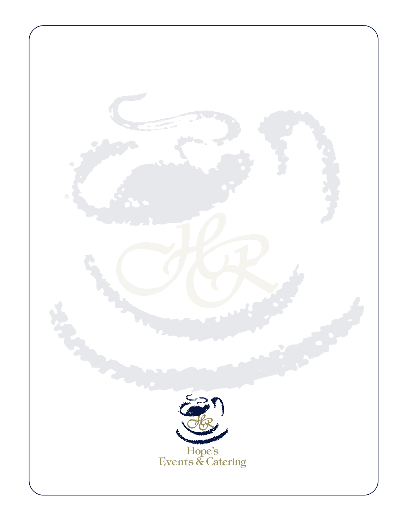# A SELECTION OF CATERING MENUS

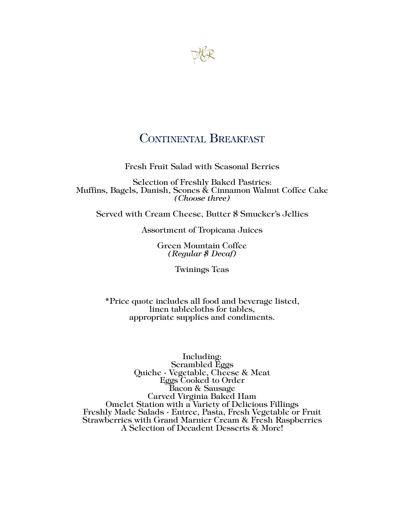

## CONTINENTAL BREAKFAST

Fresh Fruit Salad with Seasonal Berries

Selection of Freshly Baked Pastries: Muffins, Bagels, Danish, Scones & Cinnamon Walnut Coffee Cake *(Choose three)*

Served with Cream Cheese, Butter \$ Smucker's Jellies

Assortment of Tropicana Juices

Green Mountain Coffee *(Regular \$ Decaf)*

Twinings Teas

\*Price quote includes all food and beverage listed, linen tablecloths for tables, appropriate supplies and condiments.

~ Please ask about Our Brunch Suggestions ~ Including: Scrambled Eggs Quiche - Vegetable, Cheese & Meat Eggs Cooked to Order Bacon & Sausage<br>Carved Virginia Baked Ham **Carlo Carlo Virginia Baked Virginia Baked Ham Omelet Station with a Variety of Delicious Fillings Freshly Made Salads - Entree, Pasta, Fresh Vegetable or Fruit** Strawberries with Grand Marnier Cream & Fresh Raspberries A Selection of Decadent Desserts & More!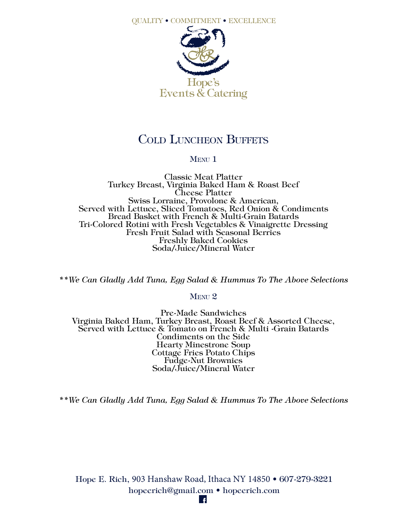

## COLD LUNCHEON BUFFETS

#### MENU<sub>1</sub>

Classic Meat Platter Turkey Breast, Virginia Baked Ham & Roast Beef Cheese Platter Swiss Lorraine, Provolone & American, Served with Lettuce, Sliced Tomatoes, Red Onion & Condiments Bread Basket with French & Multi-Grain Batards Tri-Colored Rotini with Fresh Vegetables & Vinaigrette Dressing Fresh Fruit Salad with Seasonal Berries Freshly Baked Cookies Soda/Juice/Mineral Water

*\*\*We Can Gladly Add Tuna, Egg Salad & Hummus To The Above Selections*

#### $M$ ENII  $2$

Pre-Made Sandwiches Virginia Baked Ham, Turkey Breast, Roast Beef & Assorted Cheese, Served with Lettuce & Tomato on French & Multi -Grain Batards Condiments on the Side Hearty Minestrone Soup<br>Cottage Fries Potato Chips Fudge-Nut Brownies<br>Soda/Juice/Mineral Water

*\*\*We Can Gladly Add Tuna, Egg Salad & Hummus To The Above Selections*

Hope E. Rich, 903 Hanshaw Road, Ithaca NY 14850 • 607-279-3221 hopeerich@gmail.com • hopeerich.com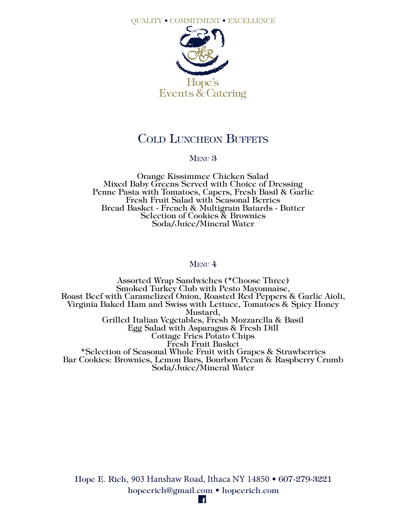

## COLD LUNCHEON BUFFETS

#### MENU<sub>3</sub>

Orange Kissimmee Chicken Salad Mixed Baby Greens Served with Choice of Dressing Penne Pasta with Tomatoes, Capers, Fresh Basil & Garlic Fresh Fruit Salad with Seasonal Berries Bread Basket - French & Multigrain Batards - Butter Selection of Cookies & Brownies Soda/Juice/Mineral Water

#### MENU<sup>4</sup>

Assorted Wrap Sandwiches (\*Choose Three) Smoked Turkey Club with Pesto Mayonnaise, Roast Beef with Caramelized Onion, Roasted Red Peppers & Garlic Aioli, Virginia Baked Ham and Swiss with Lettuce, Tomatoes & Spicy Honey Mustard, Grilled Italian Vegetables, Fresh Mozzarella & Basil Egg Salad with Asparagus & Fresh Dill Cottage Fries Potato Chips Fresh Fruit Basket \*Selection of Seasonal Whole Fruit with Grapes & Strawberries Bar Cookies: Brownies, Lemon Bars, Bourbon Pecan & Raspberry Crumb Soda/Juice/Mineral Water

Hope E. Rich, 903 Hanshaw Road, Ithaca NY 14850 • 607-279-3221 hopeerich@gmail.com • hopeerich.com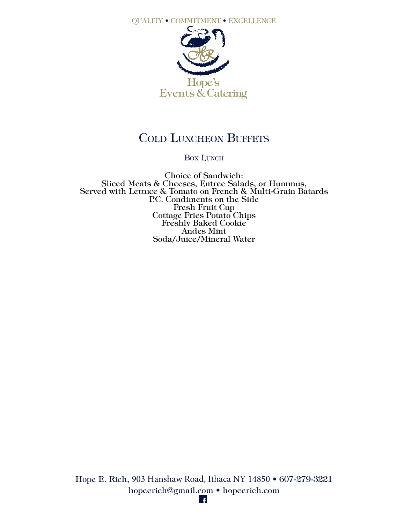

# COLD LUNCHEON BUFFETS

#### BOX LUNCH

Choice of Sandwich: Sliced Meats & Cheeses, Entree Salads, or Hummus, Served with Lettuce & Tomato on French & Multi-Grain Batards P.C. Condiments on the Side Fresh Fruit Cup Cottage Fries Potato Chips Freshly Baked Cookie Andes Mint Soda/Juice/Mineral Water

Hope E. Rich, 903 Hanshaw Road, Ithaca NY 14850 • 607-279-3221 hopeerich@gmail.com • hopeerich.com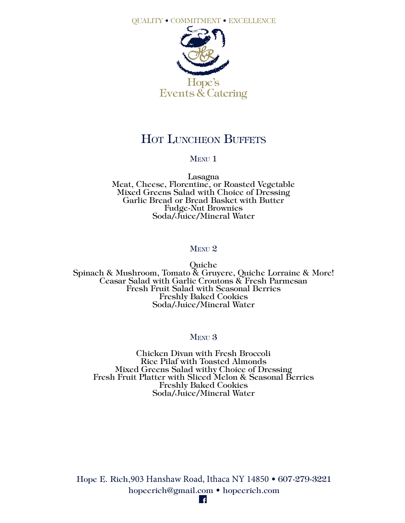

## HOT LUNCHEON BUFFETS

#### MENU<sub>1</sub>

Lasagna<br>Meat, Cheese, Florentine, or Roasted Vegetable Mixed Greens Salad with Choice of Dressing Garlic Bread or Bread Basket with Butter Soda/Juice/Mineral Water

#### MENU<sub>2</sub>

Quiche Spinach & Mushroom, Tomato & Gruyere, Quiche Lorraine & More! Ceasar Salad with Garlic Croutons & Fresh Parmesan Fresh Fruit Salad with Seasonal Berries Freshly Baked Cookies Soda/Juice/Mineral Water

#### MENU<sub>3</sub>

Chicken Divan with Fresh Broccoli Rice Pilaf with Toasted Almonds Mixed Greens Salad withy Choice of Dressing Fresh Fruit Platter with Sliced Melon & Seasonal Berries Freshly Baked Cookies Soda/Juice/Mineral Water

Hope E. Rich,903 Hanshaw Road, Ithaca NY 14850 • 607-279-3221 hopeerich@gmail.com • hopeerich.com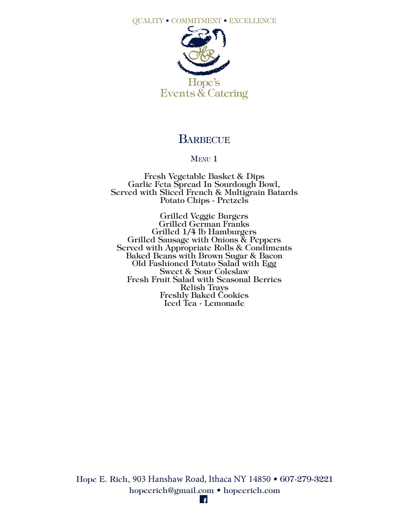

## **BARBECUE**

#### MENU<sub>1</sub>

Fresh Vegetable Basket & Dips Garlic Feta Spread In Sourdough Bowl, Served with Sliced French & Multigrain Batards Potato Chips - Pretzels

Grilled Veggie Burgers Grilled German Franks Grilled 1/4 lb Hamburgers Grilled Sausage with Onions & Peppers Served with Appropriate Rolls & Condiments Baked Beans with Brown Sugar & Bacon Old Fashioned Potato Salad with Egg Sweet & Sour Coleslaw Fresh Fruit Salad with Seasonal Berries Relish Trays Freshly Baked Cookies Iced Tea - Lemonade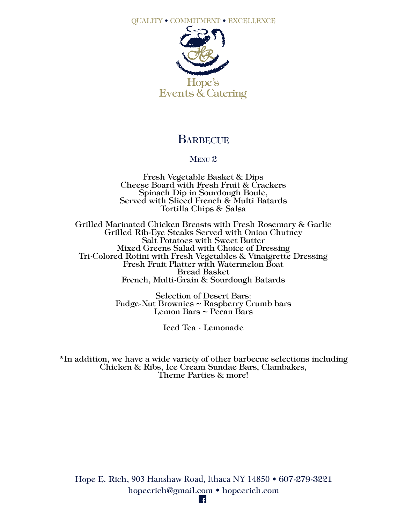

### **BARBECUE**

#### MENU<sub>2</sub>

Fresh Vegetable Basket & Dips<br>Cheese Board with Fresh Fruit & Crackers<br>Spinach Dip in Sourdough Boule, Served with Sliced French & Multi Batards Tortilla Chips & Salsa

Grilled Marinated Chicken Breasts with Fresh Rosemary & Garlic Grilled Rib-Eye Steaks Served with Onion Chutney Salt Potatoes with Sweet Butter Tri-Colored Rotini with Fresh Vegetables & Vinaigrette Dressing<br>Fresh Fruit Platter with Watermelon Boat Bread Basket French, Multi-Grain & Sourdough Batards

> Selection of Desert Bars: Fudge-Nut Brownies ~ Raspberry Crumb bars Lemon Bars ~ Pecan Bars

> > Iced Tea - Lemonade

\*In addition, we have a wide variety of other barbecue selections including Chicken & Ribs, Ice Cream Sundae Bars, Clambakes, Theme Parties & more!

Hope E. Rich, 903 Hanshaw Road, Ithaca NY 14850 • 607-279-3221 hopeerich@gmail.com • hopeerich.com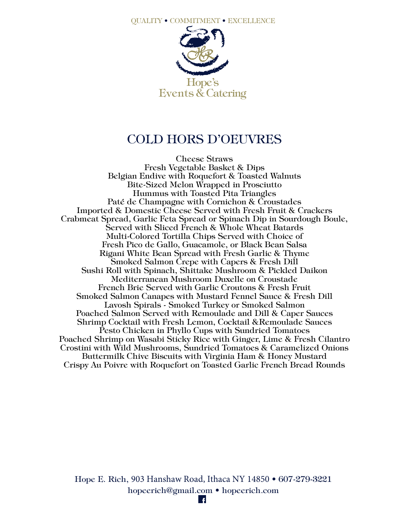

## COLD HORS D'OEUVRES

Cheese Straws Fresh Vegetable Basket & Dips Belgian Endive with Roquefort & Toasted Walnuts Bite-Sized Melon Wrapped in Prosciutto Hummus with Toasted Pita Triangles Paté de Champagne with Cornichon & Croustades Imported & Domestic Cheese Served with Fresh Fruit & Crackers Crabmeat Spread, Garlic Feta Spread or Spinach Dip in Sourdough Boule, Served with Sliced French & Whole Wheat Batards Multi-Colored Tortilla Chips Served with Choice of Fresh Pico de Gallo, Guacamole, or Black Bean Salsa Rigani White Bean Spread with Fresh Garlic & Thyme Smoked Salmon Crepe with Capers & Fresh Dill Sushi Roll with Spinach, Shittake Mushroom & Pickled Daikon Mediterranean Mushroom Duxelle on Croustade French Brie Served with Garlic Croutons & Fresh Fruit Smoked Salmon Canapes with Mustard Fennel Sauce & Fresh Dill Lavosh Spirals - Smoked Turkey or Smoked Salmon Poached Salmon Served with Remoulade and Dill & Caper Sauces Shrimp Cocktail with Fresh Lemon, Cocktail &Remoulade Sauces Pesto Chicken in Phyllo Cups with Sundried Tomatoes Poached Shrimp on Wasabi Sticky Rice with Ginger, Lime & Fresh Cilantro Crostini with Wild Mushrooms, Sundried Tomatoes & Caramelized Onions Buttermilk Chive Biscuits with Virginia Ham & Honey Mustard Crispy Au Poivre with Roquefort on Toasted Garlic French Bread Rounds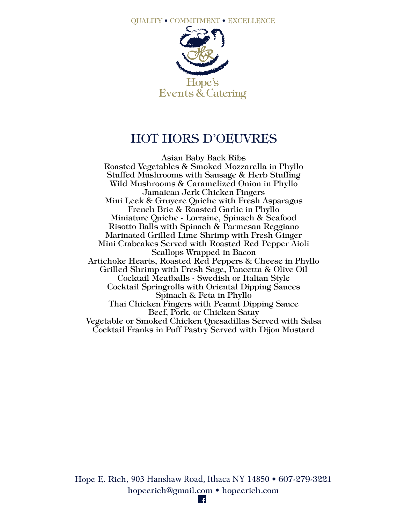

# HOT HORS D'OEUVRES

Asian Baby Back Ribs Roasted Vegetables & Smoked Mozzarella in Phyllo Stuffed Mushrooms with Sausage & Herb Stuffing Wild Mushrooms & Caramelized Onion in Phyllo Jamaican Jerk Chicken Fingers Mini Leek & Gruyere Quiche with Fresh Asparagus French Brie & Roasted Garlic in Phyllo Miniature Quiche - Lorraine, Spinach & Seafood Risotto Balls with Spinach & Parmesan Reggiano Marinated Grilled Lime Shrimp with Fresh Ginger Mini Crabcakes Served with Roasted Red Pepper Aioli Scallops Wrapped in Bacon Artichoke Hearts, Roasted Red Peppers & Cheese in Phyllo Grilled Shrimp with Fresh Sage, Pancetta & Olive Oil Cocktail Meatballs - Swedish or Italian Style Cocktail Springrolls with Oriental Dipping Sauces Spinach & Feta in Phyllo Thai Chicken Fingers with Peanut Dipping Sauce Beef, Pork, or Chicken Satay Vegetable or Smoked Chicken Quesadillas Served with Salsa Cocktail Franks in Puff Pastry Served with Dijon Mustard

Hope E. Rich, 903 Hanshaw Road, Ithaca NY 14850 • 607-279-3221 hopeerich@gmail.com • hopeerich.com